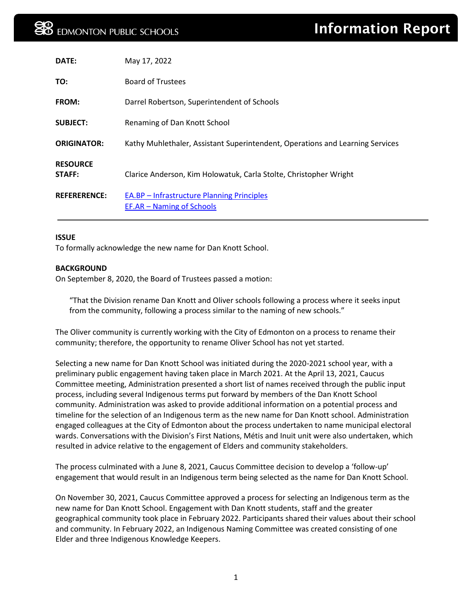| DATE:                     | May 17, 2022                                                                   |
|---------------------------|--------------------------------------------------------------------------------|
| TO:                       | <b>Board of Trustees</b>                                                       |
| FROM:                     | Darrel Robertson, Superintendent of Schools                                    |
| <b>SUBJECT:</b>           | Renaming of Dan Knott School                                                   |
| <b>ORIGINATOR:</b>        | Kathy Muhlethaler, Assistant Superintendent, Operations and Learning Services  |
| <b>RESOURCE</b><br>STAFF: | Clarice Anderson, Kim Holowatuk, Carla Stolte, Christopher Wright              |
| <b>REFERERENCE:</b>       | <b>EA.BP</b> – Infrastructure Planning Principles<br>EF.AR – Naming of Schools |

#### **ISSUE**

To formally acknowledge the new name for Dan Knott School.

#### **BACKGROUND**

On September 8, 2020, the Board of Trustees passed a motion:

"That the Division rename Dan Knott and Oliver schools following a process where it seeks input from the community, following a process similar to the naming of new schools."

The Oliver community is currently working with the City of Edmonton on a process to rename their community; therefore, the opportunity to rename Oliver School has not yet started.

Selecting a new name for Dan Knott School was initiated during the 2020-2021 school year, with a preliminary public engagement having taken place in March 2021. At the April 13, 2021, Caucus Committee meeting, Administration presented a short list of names received through the public input process, including several Indigenous terms put forward by members of the Dan Knott School community. Administration was asked to provide additional information on a potential process and timeline for the selection of an Indigenous term as the new name for Dan Knott school. Administration engaged colleagues at the City of Edmonton about the process undertaken to name municipal electoral wards. Conversations with the Division's First Nations, Métis and Inuit unit were also undertaken, which resulted in advice relative to the engagement of Elders and community stakeholders.

The process culminated with a June 8, 2021, Caucus Committee decision to develop a 'follow-up' engagement that would result in an Indigenous term being selected as the name for Dan Knott School.

On November 30, 2021, Caucus Committee approved a process for selecting an Indigenous term as the new name for Dan Knott School. Engagement with Dan Knott students, staff and the greater geographical community took place in February 2022. Participants shared their values about their school and community. In February 2022, an Indigenous Naming Committee was created consisting of one Elder and three Indigenous Knowledge Keepers.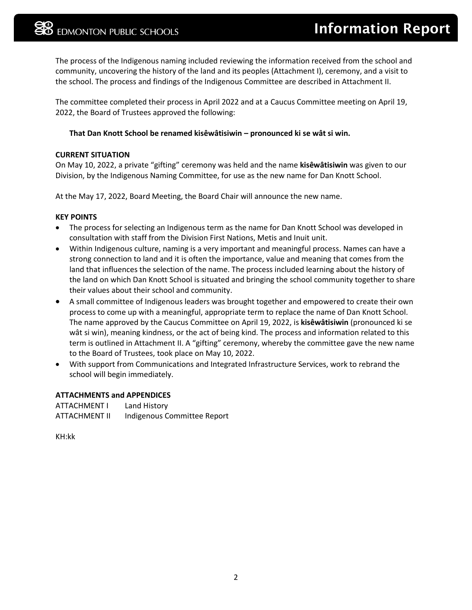The process of the Indigenous naming included reviewing the information received from the school and community, uncovering the history of the land and its peoples (Attachment I), ceremony, and a visit to the school. The process and findings of the Indigenous Committee are described in Attachment II.

The committee completed their process in April 2022 and at a Caucus Committee meeting on April 19, 2022, the Board of Trustees approved the following:

#### **That Dan Knott School be renamed kisêwâtisiwin – pronounced ki se wât si win.**

#### **CURRENT SITUATION**

On May 10, 2022, a private "gifting" ceremony was held and the name **kisêwâtisiwin** was given to our Division, by the Indigenous Naming Committee, for use as the new name for Dan Knott School.

At the May 17, 2022, Board Meeting, the Board Chair will announce the new name.

#### **KEY POINTS**

- The process for selecting an Indigenous term as the name for Dan Knott School was developed in consultation with staff from the Division First Nations, Metis and Inuit unit.
- Within Indigenous culture, naming is a very important and meaningful process. Names can have a strong connection to land and it is often the importance, value and meaning that comes from the land that influences the selection of the name. The process included learning about the history of the land on which Dan Knott School is situated and bringing the school community together to share their values about their school and community.
- A small committee of Indigenous leaders was brought together and empowered to create their own process to come up with a meaningful, appropriate term to replace the name of Dan Knott School. The name approved by the Caucus Committee on April 19, 2022, is **kisêwâtisiwin** (pronounced ki se wât si win), meaning kindness, or the act of being kind. The process and information related to this term is outlined in Attachment II. A "gifting" ceremony, whereby the committee gave the new name to the Board of Trustees, took place on May 10, 2022.
- With support from Communications and Integrated Infrastructure Services, work to rebrand the school will begin immediately.

#### **ATTACHMENTS and APPENDICES**

ATTACHMENT I Land History ATTACHMENT II Indigenous Committee Report

KH:kk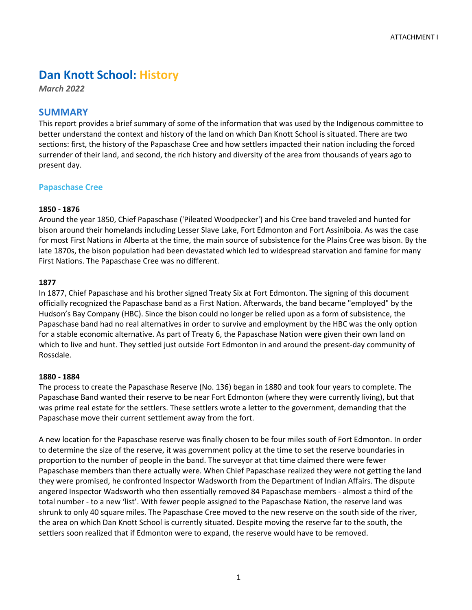# **Dan Knott School: History**

*March 2022*

# **SUMMARY**

This report provides a brief summary of some of the information that was used by the Indigenous committee to better understand the context and history of the land on which Dan Knott School is situated. There are two sections: first, the history of the Papaschase Cree and how settlers impacted their nation including the forced surrender of their land, and second, the rich history and diversity of the area from thousands of years ago to present day.

### **Papaschase Cree**

### **1850 - 1876**

Around the year 1850, Chief Papaschase ('Pileated Woodpecker') and his Cree band traveled and hunted for bison around their homelands including Lesser Slave Lake, Fort Edmonton and Fort Assiniboia. As was the case for most First Nations in Alberta at the time, the main source of subsistence for the Plains Cree was bison. By the late 1870s, the bison population had been devastated which led to widespread starvation and famine for many First Nations. The Papaschase Cree was no different.

#### **1877**

In 1877, Chief Papaschase and his brother signed Treaty Six at Fort Edmonton. The signing of this document officially recognized the Papaschase band as a First Nation. Afterwards, the band became "employed" by the Hudson's Bay Company (HBC). Since the bison could no longer be relied upon as a form of subsistence, the Papaschase band had no real alternatives in order to survive and employment by the HBC was the only option for a stable economic alternative. As part of Treaty 6, the Papaschase Nation were given their own land on which to live and hunt. They settled just outside Fort Edmonton in and around the present-day community of Rossdale.

#### **1880 - 1884**

The process to create the Papaschase Reserve (No. 136) began in 1880 and took four years to complete. The Papaschase Band wanted their reserve to be near Fort Edmonton (where they were currently living), but that was prime real estate for the settlers. These settlers wrote a letter to the government, demanding that the Papaschase move their current settlement away from the fort.

A new location for the Papaschase reserve was finally chosen to be four miles south of Fort Edmonton. In order to determine the size of the reserve, it was government policy at the time to set the reserve boundaries in proportion to the number of people in the band. The surveyor at that time claimed there were fewer Papaschase members than there actually were. When Chief Papaschase realized they were not getting the land they were promised, he confronted Inspector Wadsworth from the Department of Indian Affairs. The dispute angered Inspector Wadsworth who then essentially removed 84 Papaschase members - almost a third of the total number - to a new 'list'. With fewer people assigned to the Papaschase Nation, the reserve land was shrunk to only 40 square miles. The Papaschase Cree moved to the new reserve on the south side of the river, the area on which Dan Knott School is currently situated. Despite moving the reserve far to the south, the settlers soon realized that if Edmonton were to expand, the reserve would have to be removed.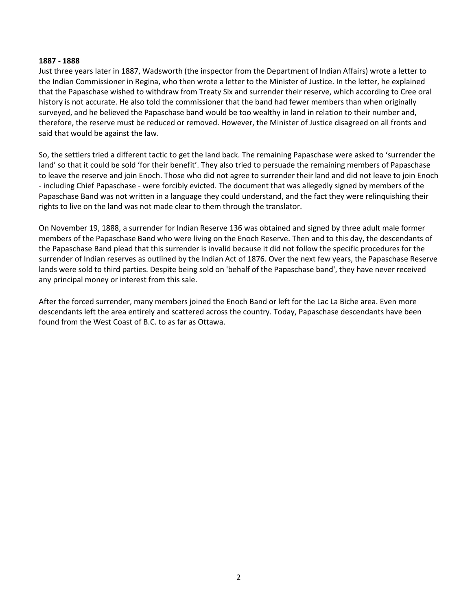#### **1887 - 1888**

Just three years later in 1887, Wadsworth (the inspector from the Department of Indian Affairs) wrote a letter to the Indian Commissioner in Regina, who then wrote a letter to the Minister of Justice. In the letter, he explained that the Papaschase wished to withdraw from Treaty Six and surrender their reserve, which according to Cree oral history is not accurate. He also told the commissioner that the band had fewer members than when originally surveyed, and he believed the Papaschase band would be too wealthy in land in relation to their number and, therefore, the reserve must be reduced or removed. However, the Minister of Justice disagreed on all fronts and said that would be against the law.

So, the settlers tried a different tactic to get the land back. The remaining Papaschase were asked to 'surrender the land' so that it could be sold 'for their benefit'. They also tried to persuade the remaining members of Papaschase to leave the reserve and join Enoch. Those who did not agree to surrender their land and did not leave to join Enoch - including Chief Papaschase - were forcibly evicted. The document that was allegedly signed by members of the Papaschase Band was not written in a language they could understand, and the fact they were relinquishing their rights to live on the land was not made clear to them through the translator.

On November 19, 1888, a surrender for Indian Reserve 136 was obtained and signed by three adult male former members of the Papaschase Band who were living on the Enoch Reserve. Then and to this day, the descendants of the Papaschase Band plead that this surrender is invalid because it did not follow the specific procedures for the surrender of Indian reserves as outlined by the Indian Act of 1876. Over the next few years, the Papaschase Reserve lands were sold to third parties. Despite being sold on 'behalf of the Papaschase band', they have never received any principal money or interest from this sale.

After the forced surrender, many members joined the Enoch Band or left for the Lac La Biche area. Even more descendants left the area entirely and scattered across the country. Today, Papaschase descendants have been found from the West Coast of B.C. to as far as Ottawa.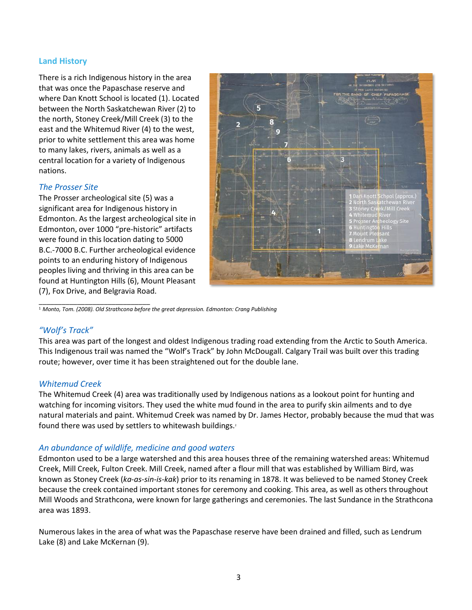# **Land History**

There is a rich Indigenous history in the area that was once the Papaschase reserve and where Dan Knott School is located (1). Located between the North Saskatchewan River (2) to the north, Stoney Creek/Mill Creek (3) to the east and the Whitemud River (4) to the west, prior to white settlement this area was home to many lakes, rivers, animals as well as a central location for a variety of Indigenous nations.

# *The Prosser Site*

The Prosser archeological site (5) was a significant area for Indigenous history in Edmonton. As the largest archeological site in Edmonton, over 1000 "pre-historic" artifacts were found in this location dating to 5000 B.C.-7000 B.C. Further archeological evidence points to an enduring history of Indigenous peoples living and thriving in this area can be found at Huntington Hills (6), Mount Pleasant (7), Fox Drive, and Belgravia Road.



\_\_\_\_\_\_\_\_\_\_\_\_\_\_\_\_\_\_\_\_\_\_\_\_\_\_\_\_\_ <sup>1</sup> *Monto, Tom. (2008). Old Strathcona before the great depression. Edmonton: Crang Publishing*

# *"Wolf's Track"*

This area was part of the longest and oldest Indigenous trading road extending from the Arctic to South America. This Indigenous trail was named the "Wolf's Track" by John McDougall. Calgary Trail was built over this trading route; however, over time it has been straightened out for the double lane.

#### *Whitemud Creek*

The Whitemud Creek (4) area was traditionally used by Indigenous nations as a lookout point for hunting and watching for incoming visitors. They used the white mud found in the area to purify skin ailments and to dye natural materials and paint. Whitemud Creek was named by Dr. James Hector, probably because the mud that was found there was used by settlers to whitewash buildings.<sup>2</sup>

# *An abundance of wildlife, medicine and good waters*

Edmonton used to be a large watershed and this area houses three of the remaining watershed areas: Whitemud Creek, Mill Creek, Fulton Creek. Mill Creek, named after a flour mill that was established by William Bird, was known as Stoney Creek (*ka-as-sin-is-kak*) prior to its renaming in 1878. It was believed to be named Stoney Creek because the creek contained important stones for ceremony and cooking. This area, as well as others throughout Mill Woods and Strathcona, were known for large gatherings and ceremonies. The last Sundance in the Strathcona area was 1893.

Numerous lakes in the area of what was the Papaschase reserve have been drained and filled, such as Lendrum Lake (8) and Lake McKernan (9).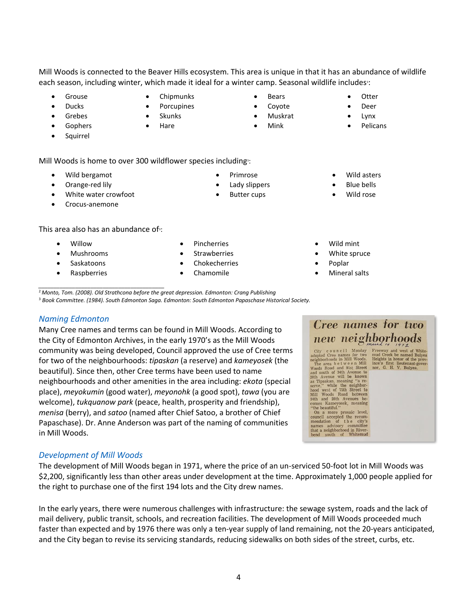Mill Woods is connected to the Beaver Hills ecosystem. This area is unique in that it has an abundance of wildlife each season, including winter, which made it ideal for a winter camp. Seasonal wildlife includes<sup>3</sup>:

- **Grouse**
- Ducks
- **Grebes**
- **Gophers**
- **Squirrel**

Mill Woods is home to over 300 wildflower species including<sup>3</sup>:

- Wild bergamot
- Orange-red lily
- White water crowfoot
- Crocus-anemone

This area also has an abundance of<sup>3</sup>:

- Willow
- Mushrooms
- Saskatoons
- **Raspberries**
- **Pincherries**
- 
- Chamomile

*\_\_\_\_\_\_\_\_\_\_\_\_\_\_\_\_\_\_\_\_\_\_\_\_\_\_\_\_\_\_\_\_\_\_\_\_\_\_\_\_\_*

<sup>2</sup> *Monto, Tom. (2008). Old Strathcona before the great depression. Edmonton: Crang Publishing* <sup>3</sup> *Book Committee. (1984). South Edmonton Saga. Edmonton: South Edmonton Papaschase Historical Society.*

#### *Naming Edmonton*

Many Cree names and terms can be found in Mill Woods. According to the City of Edmonton Archives, in the early 1970's as the Mill Woods community was being developed, Council approved the use of Cree terms for two of the neighbourhoods: *tipaskan* (a reserve) and *kameyosek* (the beautiful). Since then, other Cree terms have been used to name neighbourhoods and other amenities in the area including: *ekota* (special place), *meyokumin* (good water), *meyonohk* (a good spot), *tawa* (you are welcome), *tukquanow park* (peace, health, prosperity and friendship), *menisa* (berry), and *satoo* (named after Chief Satoo, a brother of Chief Papaschase). Dr. Anne Anderson was part of the naming of communities in Mill Woods.

# *Development of Mill Woods*

The development of Mill Woods began in 1971, where the price of an un-serviced 50-foot lot in Mill Woods was \$2,200, significantly less than other areas under development at the time. Approximately 1,000 people applied for the right to purchase one of the first 194 lots and the City drew names.

In the early years, there were numerous challenges with infrastructure: the sewage system, roads and the lack of mail delivery, public transit, schools, and recreation facilities. The development of Mill Woods proceeded much faster than expected and by 1976 there was only a ten-year supply of land remaining, not the 20-years anticipated, and the City began to revise its servicing standards, reducing sidewalks on both sides of the street, curbs, etc.

- 
- Wild asters
- Blue bells
- Wild rose
- Wild mint
- White spruce
- Poplar
- Mineral salts



- -
	-
	-
	-
	-
- Chipmunks **Porcupines**
- **Skunks**
- **Hare**
- 
- Coyote • Muskrat
	- Mink

• Bears

- - Deer
	- Lynx • Pelicans

**Otter** 

- Primrose
- Lady slippers
- **Butter cups**
- 
- 
- 
- 
- **Chokecherries** 
	-
- -
- 

- 
- 

- 
- **Strawberries**

- -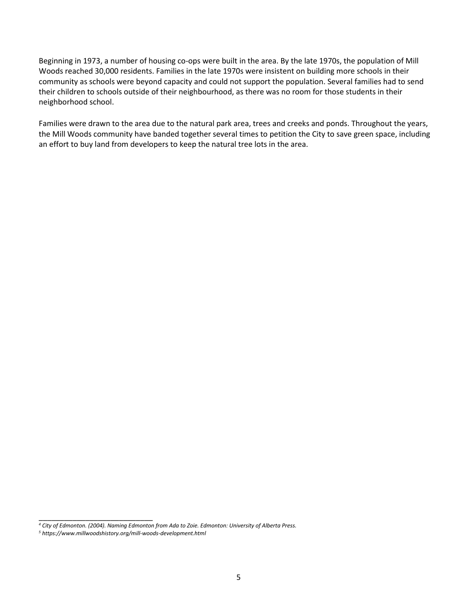Beginning in 1973, a number of housing co-ops were built in the area. By the late 1970s, the population of Mill Woods reached 30,000 residents. Families in the late 1970s were insistent on building more schools in their community as schools were beyond capacity and could not support the population. Several families had to send their children to schools outside of their neighbourhood, as there was no room for those students in their neighborhood school.

Families were drawn to the area due to the natural park area, trees and creeks and ponds. Throughout the years, the Mill Woods community have banded together several times to petition the City to save green space, including an effort to buy land from developers to keep the natural tree lots in the area.

\_\_\_\_\_\_\_\_\_\_\_\_\_\_\_\_\_\_\_\_\_\_\_\_\_\_\_

*<sup>4</sup> City of Edmonton. (2004). Naming Edmonton from Ada to Zoie. Edmonton: University of Alberta Press.*

*<sup>5</sup> https://www.millwoodshistory.org/mill-woods-development.html*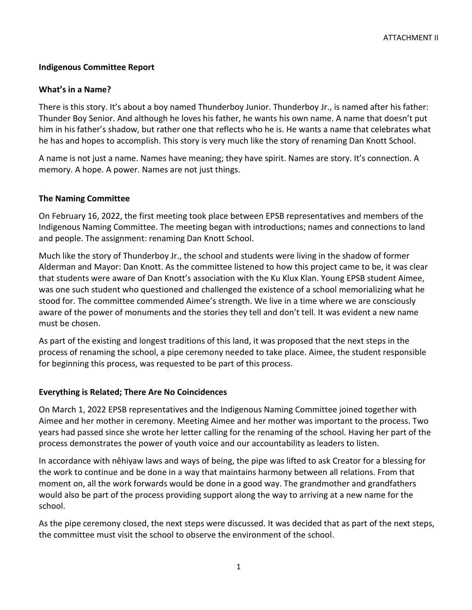# **Indigenous Committee Report**

# **What's in a Name?**

There is this story. It's about a boy named Thunderboy Junior. Thunderboy Jr., is named after his father: Thunder Boy Senior. And although he loves his father, he wants his own name. A name that doesn't put him in his father's shadow, but rather one that reflects who he is. He wants a name that celebrates what he has and hopes to accomplish. This story is very much like the story of renaming Dan Knott School.

A name is not just a name. Names have meaning; they have spirit. Names are story. It's connection. A memory. A hope. A power. Names are not just things.

### **The Naming Committee**

On February 16, 2022, the first meeting took place between EPSB representatives and members of the Indigenous Naming Committee. The meeting began with introductions; names and connections to land and people. The assignment: renaming Dan Knott School.

Much like the story of Thunderboy Jr., the school and students were living in the shadow of former Alderman and Mayor: Dan Knott. As the committee listened to how this project came to be, it was clear that students were aware of Dan Knott's association with the Ku Klux Klan. Young EPSB student Aimee, was one such student who questioned and challenged the existence of a school memorializing what he stood for. The committee commended Aimee's strength. We live in a time where we are consciously aware of the power of monuments and the stories they tell and don't tell. It was evident a new name must be chosen.

As part of the existing and longest traditions of this land, it was proposed that the next steps in the process of renaming the school, a pipe ceremony needed to take place. Aimee, the student responsible for beginning this process, was requested to be part of this process.

# **Everything is Related; There Are No Coincidences**

On March 1, 2022 EPSB representatives and the Indigenous Naming Committee joined together with Aimee and her mother in ceremony. Meeting Aimee and her mother was important to the process. Two years had passed since she wrote her letter calling for the renaming of the school. Having her part of the process demonstrates the power of youth voice and our accountability as leaders to listen.

In accordance with nêhiyaw laws and ways of being, the pipe was lifted to ask Creator for a blessing for the work to continue and be done in a way that maintains harmony between all relations. From that moment on, all the work forwards would be done in a good way. The grandmother and grandfathers would also be part of the process providing support along the way to arriving at a new name for the school.

As the pipe ceremony closed, the next steps were discussed. It was decided that as part of the next steps, the committee must visit the school to observe the environment of the school.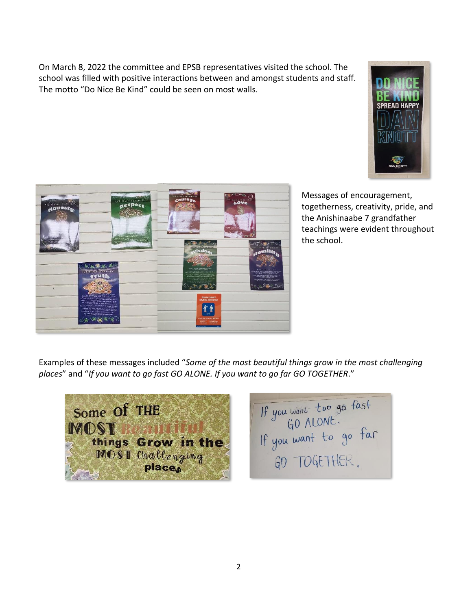On March 8, 2022 the committee and EPSB representatives visited the school. The school was filled with positive interactions between and amongst students and staff. The motto "Do Nice Be Kind" could be seen on most walls.





Messages of encouragement, togetherness, creativity, pride, and the Anishinaabe 7 grandfather teachings were evident throughout the school.

Examples of these messages included "*Some of the most beautiful things grow in the most challenging places*" and "*If you want to go fast GO ALONE. If you want to go far GO TOGETHER*."

Some Of THE **MOST**  $B_2$  ,  $B_3$ things Grow in the MOST Challenging

If you want too go fast<br>If you want to go far GD TOGETHER.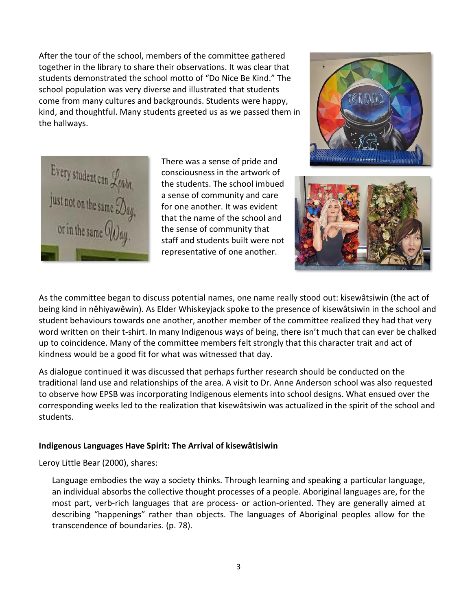After the tour of the school, members of the committee gathered together in the library to share their observations. It was clear that students demonstrated the school motto of "Do Nice Be Kind." The school population was very diverse and illustrated that students come from many cultures and backgrounds. Students were happy, kind, and thoughtful. Many students greeted us as we passed them in the hallways.



There was a sense of pride and consciousness in the artwork of the students. The school imbued a sense of community and care for one another. It was evident that the name of the school and the sense of community that staff and students built were not representative of one another.





As the committee began to discuss potential names, one name really stood out: kisewâtsiwin (the act of being kind in nêhiyawêwin). As Elder Whiskeyjack spoke to the presence of kisewâtsiwin in the school and student behaviours towards one another, another member of the committee realized they had that very word written on their t-shirt. In many Indigenous ways of being, there isn't much that can ever be chalked up to coincidence. Many of the committee members felt strongly that this character trait and act of kindness would be a good fit for what was witnessed that day.

As dialogue continued it was discussed that perhaps further research should be conducted on the traditional land use and relationships of the area. A visit to Dr. Anne Anderson school was also requested to observe how EPSB was incorporating Indigenous elements into school designs. What ensued over the corresponding weeks led to the realization that kisewâtsiwin was actualized in the spirit of the school and students.

# **Indigenous Languages Have Spirit: The Arrival of kisewâtisiwin**

Leroy Little Bear (2000), shares:

Language embodies the way a society thinks. Through learning and speaking a particular language, an individual absorbs the collective thought processes of a people. Aboriginal languages are, for the most part, verb-rich languages that are process- or action-oriented. They are generally aimed at describing "happenings" rather than objects. The languages of Aboriginal peoples allow for the transcendence of boundaries. (p. 78).